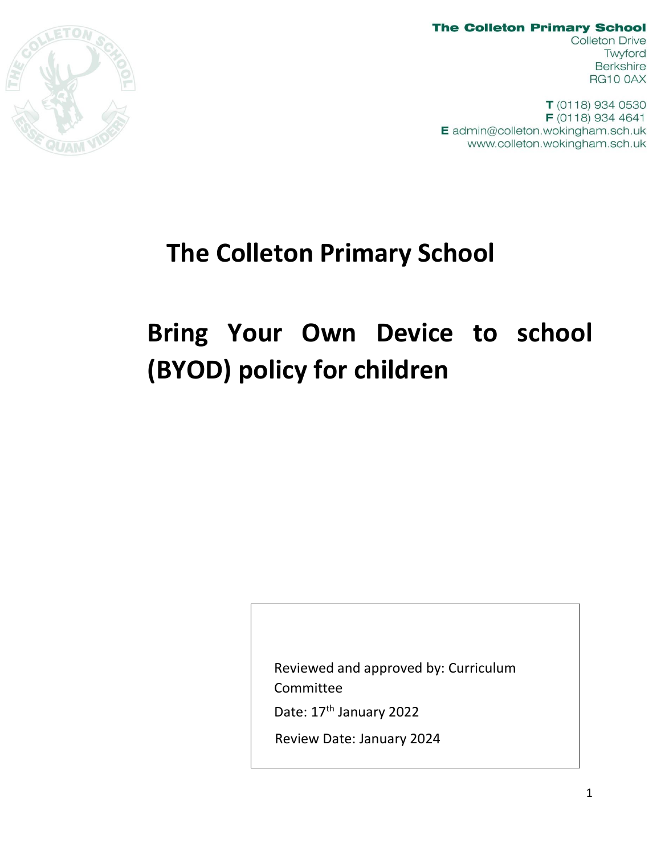

**The Colleton Primary School Colleton Drive** Twyford **Berkshire RG10 0AX** 

 $T(0118)$  934 0530 F (0118) 934 4641 E admin@colleton.wokingham.sch.uk www.colleton.wokingham.sch.uk

# **The Colleton Primary School**

# **Bring Your Own Device to school (BYOD) policy for children**

Reviewed and approved by: Curriculum Committee

Date: 17<sup>th</sup> January 2022

Review Date: January 2024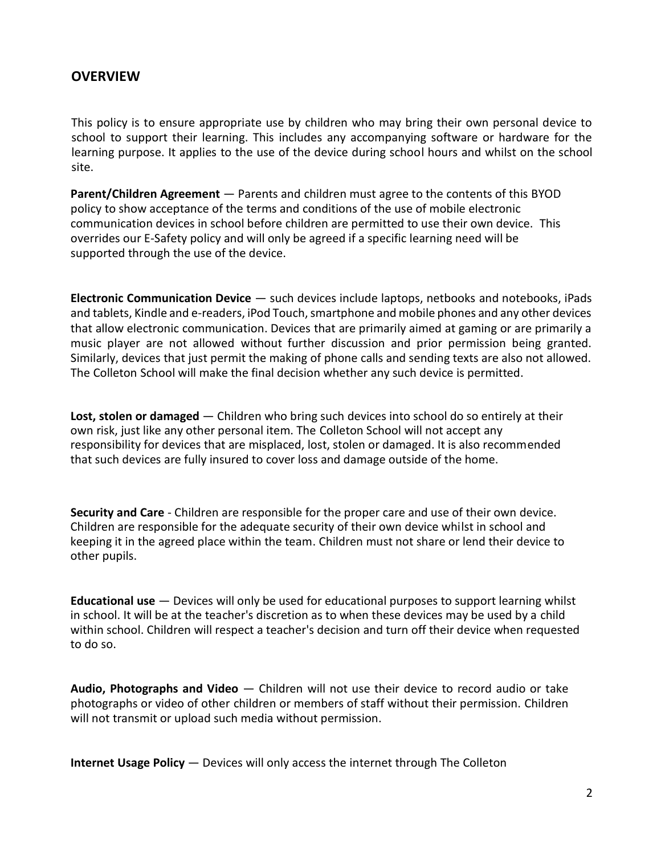#### **OVERVIEW**

This policy is to ensure appropriate use by children who may bring their own personal device to school to support their learning. This includes any accompanying software or hardware for the learning purpose. It applies to the use of the device during school hours and whilst on the school site.

**Parent/Children Agreement** — Parents and children must agree to the contents of this BYOD policy to show acceptance of the terms and conditions of the use of mobile electronic communication devices in school before children are permitted to use their own device. This overrides our E-Safety policy and will only be agreed if a specific learning need will be supported through the use of the device.

**Electronic Communication Device** — such devices include laptops, netbooks and notebooks, iPads and tablets, Kindle and e-readers, iPod Touch, smartphone and mobile phones and any other devices that allow electronic communication. Devices that are primarily aimed at gaming or are primarily a music player are not allowed without further discussion and prior permission being granted. Similarly, devices that just permit the making of phone calls and sending texts are also not allowed. The Colleton School will make the final decision whether any such device is permitted.

**Lost, stolen or damaged** — Children who bring such devices into school do so entirely at their own risk, just like any other personal item. The Colleton School will not accept any responsibility for devices that are misplaced, lost, stolen or damaged. It is also recommended that such devices are fully insured to cover loss and damage outside of the home.

**Security and Care** - Children are responsible for the proper care and use of their own device. Children are responsible for the adequate security of their own device whilst in school and keeping it in the agreed place within the team. Children must not share or lend their device to other pupils.

**Educational use** — Devices will only be used for educational purposes to support learning whilst in school. It will be at the teacher's discretion as to when these devices may be used by a child within school. Children will respect a teacher's decision and turn off their device when requested to do so.

**Audio, Photographs and Video** — Children will not use their device to record audio or take photographs or video of other children or members of staff without their permission. Children will not transmit or upload such media without permission.

**Internet Usage Policy** — Devices will only access the internet through The Colleton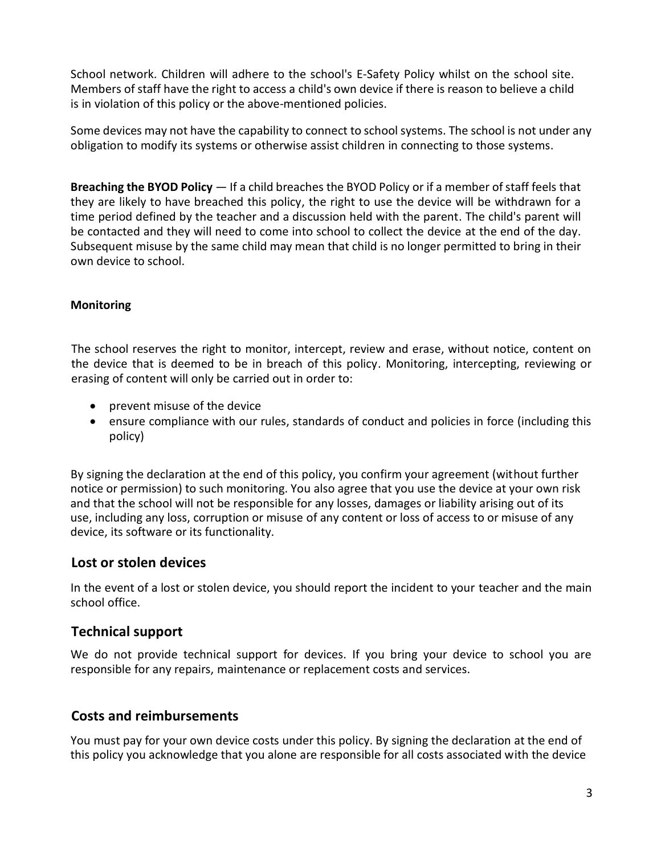School network. Children will adhere to the school's E-Safety Policy whilst on the school site. Members of staff have the right to access a child's own device if there is reason to believe a child is in violation of this policy or the above-mentioned policies.

Some devices may not have the capability to connect to school systems. The school is not under any obligation to modify its systems or otherwise assist children in connecting to those systems.

**Breaching the BYOD Policy** — If a child breaches the BYOD Policy or if a member of staff feels that they are likely to have breached this policy, the right to use the device will be withdrawn for a time period defined by the teacher and a discussion held with the parent. The child's parent will be contacted and they will need to come into school to collect the device at the end of the day. Subsequent misuse by the same child may mean that child is no longer permitted to bring in their own device to school.

#### **Monitoring**

The school reserves the right to monitor, intercept, review and erase, without notice, content on the device that is deemed to be in breach of this policy. Monitoring, intercepting, reviewing or erasing of content will only be carried out in order to:

- prevent misuse of the device
- ensure compliance with our rules, standards of conduct and policies in force (including this policy)

By signing the declaration at the end of this policy, you confirm your agreement (without further notice or permission) to such monitoring. You also agree that you use the device at your own risk and that the school will not be responsible for any losses, damages or liability arising out of its use, including any loss, corruption or misuse of any content or loss of access to or misuse of any device, its software or its functionality.

#### **Lost or stolen devices**

In the event of a lost or stolen device, you should report the incident to your teacher and the main school office.

## **Technical support**

We do not provide technical support for devices. If you bring your device to school you are responsible for any repairs, maintenance or replacement costs and services.

## **Costs and reimbursements**

You must pay for your own device costs under this policy. By signing the declaration at the end of this policy you acknowledge that you alone are responsible for all costs associated with the device